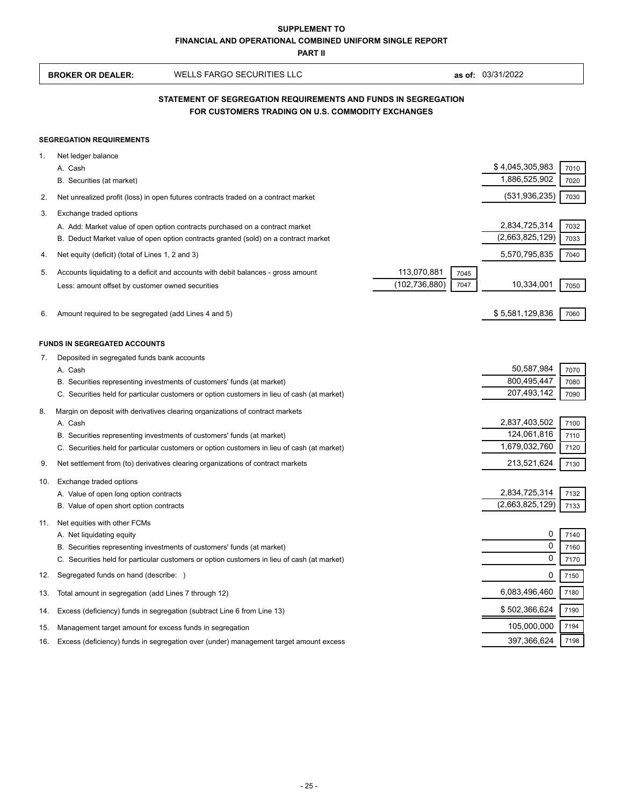**PART II**

|     | <b>BROKER OR DEALER:</b>                                                                                            | <b>WELLS FARGO SECURITIES LLC</b>                                                                                                                                     |                                |              | as of: 03/31/2022                |              |  |  |
|-----|---------------------------------------------------------------------------------------------------------------------|-----------------------------------------------------------------------------------------------------------------------------------------------------------------------|--------------------------------|--------------|----------------------------------|--------------|--|--|
|     | STATEMENT OF SEGREGATION REQUIREMENTS AND FUNDS IN SEGREGATION<br>FOR CUSTOMERS TRADING ON U.S. COMMODITY EXCHANGES |                                                                                                                                                                       |                                |              |                                  |              |  |  |
|     | <b>SEGREGATION REQUIREMENTS</b>                                                                                     |                                                                                                                                                                       |                                |              |                                  |              |  |  |
| 1.  | Net ledger balance<br>A. Cash                                                                                       |                                                                                                                                                                       |                                |              | \$4,045,305,983                  | 7010         |  |  |
|     | B. Securities (at market)                                                                                           |                                                                                                                                                                       |                                |              | 1,886,525,902                    | 7020         |  |  |
| 2.  |                                                                                                                     | Net unrealized profit (loss) in open futures contracts traded on a contract market                                                                                    |                                |              | (531, 936, 235)                  | 7030         |  |  |
| 3.  | Exchange traded options                                                                                             | A. Add: Market value of open option contracts purchased on a contract market<br>B. Deduct Market value of open option contracts granted (sold) on a contract market   |                                |              | 2,834,725,314<br>(2,663,825,129) | 7032<br>7033 |  |  |
| 4.  | Net equity (deficit) (total of Lines 1, 2 and 3)                                                                    |                                                                                                                                                                       |                                |              | 5,570,795,835                    | 7040         |  |  |
| 5.  | Less: amount offset by customer owned securities                                                                    | Accounts liquidating to a deficit and accounts with debit balances - gross amount                                                                                     | 113,070,881<br>(102, 736, 880) | 7045<br>7047 | 10,334,001                       | 7050         |  |  |
| 6.  | Amount required to be segregated (add Lines 4 and 5)                                                                |                                                                                                                                                                       |                                |              | \$5,581,129,836                  | 7060         |  |  |
|     | <b>FUNDS IN SEGREGATED ACCOUNTS</b>                                                                                 |                                                                                                                                                                       |                                |              |                                  |              |  |  |
| 7.  | Deposited in segregated funds bank accounts                                                                         |                                                                                                                                                                       |                                |              |                                  |              |  |  |
|     | A. Cash                                                                                                             | B. Securities representing investments of customers' funds (at market)                                                                                                |                                |              | 50,587,984<br>800,495,447        | 7070<br>7080 |  |  |
|     |                                                                                                                     | C. Securities held for particular customers or option customers in lieu of cash (at market)                                                                           |                                |              | 207,493,142                      | 7090         |  |  |
| 8.  |                                                                                                                     | Margin on deposit with derivatives clearing organizations of contract markets                                                                                         |                                |              |                                  |              |  |  |
|     | A. Cash                                                                                                             |                                                                                                                                                                       |                                |              | 2,837,403,502                    | 7100         |  |  |
|     |                                                                                                                     | B. Securities representing investments of customers' funds (at market)                                                                                                |                                |              | 124,061,816                      | 7110         |  |  |
|     |                                                                                                                     | C. Securities held for particular customers or option customers in lieu of cash (at market)                                                                           |                                |              | 1,679,032,760                    | 7120         |  |  |
| 9.  |                                                                                                                     | Net settlement from (to) derivatives clearing organizations of contract markets                                                                                       |                                |              | 213,521,624                      | 7130         |  |  |
| 10. | Exchange traded options                                                                                             |                                                                                                                                                                       |                                |              |                                  |              |  |  |
|     | A. Value of open long option contracts                                                                              |                                                                                                                                                                       |                                |              | 2,834,725,314                    | 7132         |  |  |
|     | B. Value of open short option contracts                                                                             |                                                                                                                                                                       |                                |              | (2,663,825,129)                  | 7133         |  |  |
|     | Net equities with other FCMs                                                                                        |                                                                                                                                                                       |                                |              |                                  |              |  |  |
|     | A. Net liquidating equity                                                                                           |                                                                                                                                                                       |                                |              | 0<br>0                           | 7140         |  |  |
|     |                                                                                                                     | B. Securities representing investments of customers' funds (at market)<br>C. Securities held for particular customers or option customers in lieu of cash (at market) |                                |              | 0                                | 7160<br>7170 |  |  |
| 12. | Segregated funds on hand (describe: )                                                                               |                                                                                                                                                                       |                                |              | 0                                | 7150         |  |  |
|     | Total amount in segregation (add Lines 7 through 12)                                                                |                                                                                                                                                                       |                                |              | 6,083,496,460                    | 7180         |  |  |
| 13. |                                                                                                                     |                                                                                                                                                                       |                                |              | \$502,366,624                    | 7190         |  |  |
| 14. |                                                                                                                     | Excess (deficiency) funds in segregation (subtract Line 6 from Line 13)                                                                                               |                                |              | 105,000,000                      | 7194         |  |  |
| 15. |                                                                                                                     | Management target amount for excess funds in segregation<br>Excess (deficiency) funds in segregation over (under) management target amount excess                     |                                |              | 397,366,624                      | 7198         |  |  |
| 16. |                                                                                                                     |                                                                                                                                                                       |                                |              |                                  |              |  |  |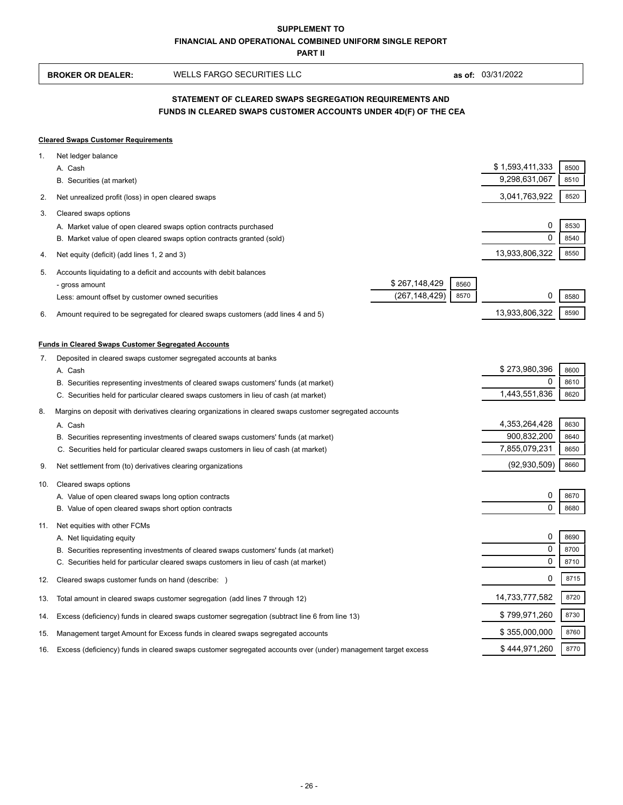**PART II**

|          | <b>BROKER OR DEALER:</b>                                                                                                   | <b>WELLS FARGO SECURITIES LLC</b>                                                                                                                                                                                                                                                                                                                             |                                  |              | as of: 03/31/2022                                    |                              |  |
|----------|----------------------------------------------------------------------------------------------------------------------------|---------------------------------------------------------------------------------------------------------------------------------------------------------------------------------------------------------------------------------------------------------------------------------------------------------------------------------------------------------------|----------------------------------|--------------|------------------------------------------------------|------------------------------|--|
|          | STATEMENT OF CLEARED SWAPS SEGREGATION REQUIREMENTS AND<br>FUNDS IN CLEARED SWAPS CUSTOMER ACCOUNTS UNDER 4D(F) OF THE CEA |                                                                                                                                                                                                                                                                                                                                                               |                                  |              |                                                      |                              |  |
|          | <b>Cleared Swaps Customer Requirements</b>                                                                                 |                                                                                                                                                                                                                                                                                                                                                               |                                  |              |                                                      |                              |  |
| 1.       | Net ledger balance<br>A. Cash<br>B. Securities (at market)                                                                 |                                                                                                                                                                                                                                                                                                                                                               |                                  |              | \$1,593,411,333<br>9,298,631,067                     | 8500<br>8510                 |  |
| 2.       | Net unrealized profit (loss) in open cleared swaps                                                                         |                                                                                                                                                                                                                                                                                                                                                               |                                  |              | 3,041,763,922                                        | 8520                         |  |
| 3.       | Cleared swaps options                                                                                                      | A. Market value of open cleared swaps option contracts purchased<br>B. Market value of open cleared swaps option contracts granted (sold)                                                                                                                                                                                                                     |                                  |              | 0<br>$\Omega$                                        | 8530<br>8540                 |  |
| 4.       | Net equity (deficit) (add lines 1, 2 and 3)                                                                                |                                                                                                                                                                                                                                                                                                                                                               |                                  |              | 13,933,806,322                                       | 8550                         |  |
| 5.       | - gross amount<br>Less: amount offset by customer owned securities                                                         | Accounts liquidating to a deficit and accounts with debit balances                                                                                                                                                                                                                                                                                            | \$267,148,429<br>(267, 148, 429) | 8560<br>8570 | 0                                                    | 8580                         |  |
| 6.       |                                                                                                                            | Amount required to be segregated for cleared swaps customers (add lines 4 and 5)                                                                                                                                                                                                                                                                              |                                  |              | 13,933,806,322                                       | 8590                         |  |
| 7.<br>8. | <b>Funds in Cleared Swaps Customer Segregated Accounts</b><br>A. Cash<br>A. Cash                                           | Deposited in cleared swaps customer segregated accounts at banks<br>B. Securities representing investments of cleared swaps customers' funds (at market)<br>C. Securities held for particular cleared swaps customers in lieu of cash (at market)<br>Margins on deposit with derivatives clearing organizations in cleared swaps customer segregated accounts |                                  |              | \$273,980,396<br>0<br>1,443,551,836<br>4,353,264,428 | 8600<br>8610<br>8620<br>8630 |  |
|          |                                                                                                                            | B. Securities representing investments of cleared swaps customers' funds (at market)<br>C. Securities held for particular cleared swaps customers in lieu of cash (at market)                                                                                                                                                                                 |                                  |              | 900,832,200<br>7,855,079,231                         | 8640<br>8650                 |  |
| 9.       | Net settlement from (to) derivatives clearing organizations                                                                |                                                                                                                                                                                                                                                                                                                                                               |                                  |              | (92, 930, 509)                                       | 8660                         |  |
| 10.      | Cleared swaps options<br>A. Value of open cleared swaps long option contracts                                              |                                                                                                                                                                                                                                                                                                                                                               |                                  |              | 0                                                    | 8670                         |  |
|          | B. Value of open cleared swaps short option contracts                                                                      |                                                                                                                                                                                                                                                                                                                                                               |                                  |              | 0                                                    | 8680                         |  |
| 11.      | Net equities with other FCMs<br>A. Net liquidating equity                                                                  | B. Securities representing investments of cleared swaps customers' funds (at market)<br>C. Securities held for particular cleared swaps customers in lieu of cash (at market)                                                                                                                                                                                 |                                  |              | 0<br>0<br>0                                          | 8690<br>8700<br>8710         |  |
| 12.      | Cleared swaps customer funds on hand (describe: )                                                                          |                                                                                                                                                                                                                                                                                                                                                               |                                  |              | 0                                                    | 8715                         |  |
| 13.      |                                                                                                                            | Total amount in cleared swaps customer segregation (add lines 7 through 12)                                                                                                                                                                                                                                                                                   |                                  |              | 14,733,777,582                                       | 8720                         |  |
| 14.      |                                                                                                                            | Excess (deficiency) funds in cleared swaps customer segregation (subtract line 6 from line 13)                                                                                                                                                                                                                                                                |                                  |              | \$799,971,260                                        | 8730                         |  |
| 15.      |                                                                                                                            | Management target Amount for Excess funds in cleared swaps segregated accounts                                                                                                                                                                                                                                                                                |                                  |              | \$355,000,000                                        | 8760                         |  |
| 16.      |                                                                                                                            | Excess (deficiency) funds in cleared swaps customer segregated accounts over (under) management target excess                                                                                                                                                                                                                                                 |                                  |              | \$444,971,260                                        | 8770                         |  |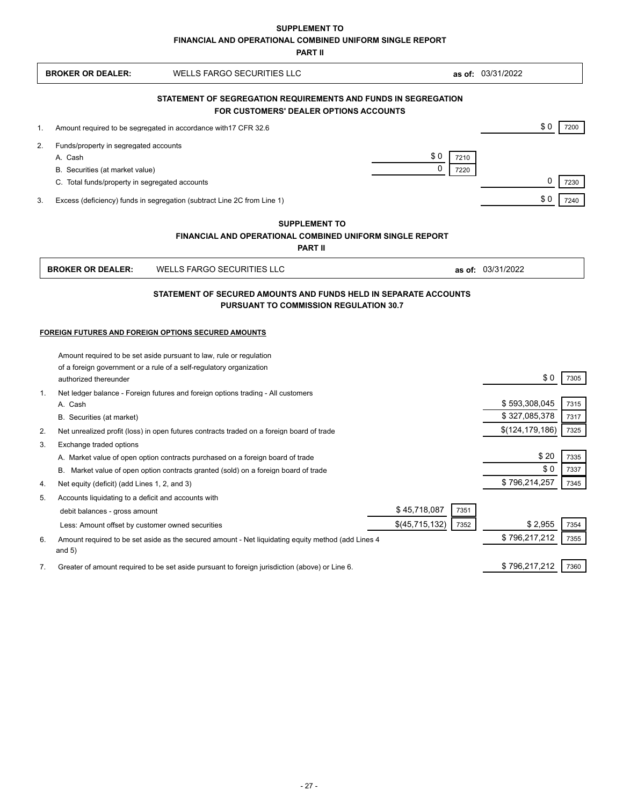**SUPPLEMENT TO**

**FINANCIAL AND OPERATIONAL COMBINED UNIFORM SINGLE REPORT**

**PART II**

|                | <b>BROKER OR DEALER:</b>                            | <b>WELLS FARGO SECURITIES LLC</b>                                                                  |                |      | as of: 03/31/2022 |      |
|----------------|-----------------------------------------------------|----------------------------------------------------------------------------------------------------|----------------|------|-------------------|------|
|                |                                                     | STATEMENT OF SEGREGATION REQUIREMENTS AND FUNDS IN SEGREGATION                                     |                |      |                   |      |
|                |                                                     | <b>FOR CUSTOMERS' DEALER OPTIONS ACCOUNTS</b>                                                      |                |      |                   |      |
| $\mathbf{1}$ . |                                                     | Amount required to be segregated in accordance with 17 CFR 32.6                                    |                |      | \$0               | 7200 |
| 2.             | Funds/property in segregated accounts               |                                                                                                    |                |      |                   |      |
|                | A. Cash                                             |                                                                                                    | \$0            | 7210 |                   |      |
|                | B. Securities (at market value)                     |                                                                                                    | $\Omega$       | 7220 |                   |      |
|                | C. Total funds/property in segregated accounts      |                                                                                                    |                |      | 0                 | 7230 |
| 3.             |                                                     | Excess (deficiency) funds in segregation (subtract Line 2C from Line 1)                            |                |      | \$0               | 7240 |
|                |                                                     | <b>SUPPLEMENT TO</b>                                                                               |                |      |                   |      |
|                |                                                     | <b>FINANCIAL AND OPERATIONAL COMBINED UNIFORM SINGLE REPORT</b>                                    |                |      |                   |      |
|                |                                                     | <b>PART II</b>                                                                                     |                |      |                   |      |
|                | <b>BROKER OR DEALER:</b>                            | <b>WELLS FARGO SECURITIES LLC</b>                                                                  |                |      | as of: 03/31/2022 |      |
|                |                                                     | STATEMENT OF SECURED AMOUNTS AND FUNDS HELD IN SEPARATE ACCOUNTS                                   |                |      |                   |      |
|                |                                                     | <b>PURSUANT TO COMMISSION REGULATION 30.7</b>                                                      |                |      |                   |      |
|                |                                                     |                                                                                                    |                |      |                   |      |
|                | FOREIGN FUTURES AND FOREIGN OPTIONS SECURED AMOUNTS |                                                                                                    |                |      |                   |      |
|                |                                                     | Amount required to be set aside pursuant to law, rule or regulation                                |                |      |                   |      |
|                |                                                     | of a foreign government or a rule of a self-regulatory organization                                |                |      |                   |      |
|                | authorized thereunder                               |                                                                                                    |                |      | \$0               | 7305 |
| 1.             |                                                     | Net ledger balance - Foreign futures and foreign options trading - All customers                   |                |      |                   |      |
|                | A. Cash                                             |                                                                                                    |                |      | \$593,308,045     | 7315 |
|                | B. Securities (at market)                           |                                                                                                    |                |      | \$327,085,378     | 7317 |
| 2.             |                                                     | Net unrealized profit (loss) in open futures contracts traded on a foreign board of trade          |                |      | \$(124, 179, 186) | 7325 |
| 3.             | Exchange traded options                             |                                                                                                    |                |      |                   |      |
|                |                                                     | A. Market value of open option contracts purchased on a foreign board of trade                     |                |      | \$20              | 7335 |
|                |                                                     | B. Market value of open option contracts granted (sold) on a foreign board of trade                |                |      | \$0               | 7337 |
| 4.             | Net equity (deficit) (add Lines 1, 2, and 3)        |                                                                                                    |                |      | \$796,214,257     | 7345 |
| 5.             | Accounts liquidating to a deficit and accounts with |                                                                                                    |                |      |                   |      |
|                | debit balances - gross amount                       |                                                                                                    | \$45,718,087   | 7351 |                   |      |
|                | Less: Amount offset by customer owned securities    |                                                                                                    | \$(45,715,132) | 7352 | \$2,955           | 7354 |
| 6.             |                                                     | Amount required to be set aside as the secured amount - Net liquidating equity method (add Lines 4 |                |      | \$796,217,212     | 7355 |
|                | and $5)$                                            |                                                                                                    |                |      |                   |      |
| 7.             |                                                     | Greater of amount required to be set aside pursuant to foreign jurisdiction (above) or Line 6.     |                |      | \$796,217,212     | 7360 |